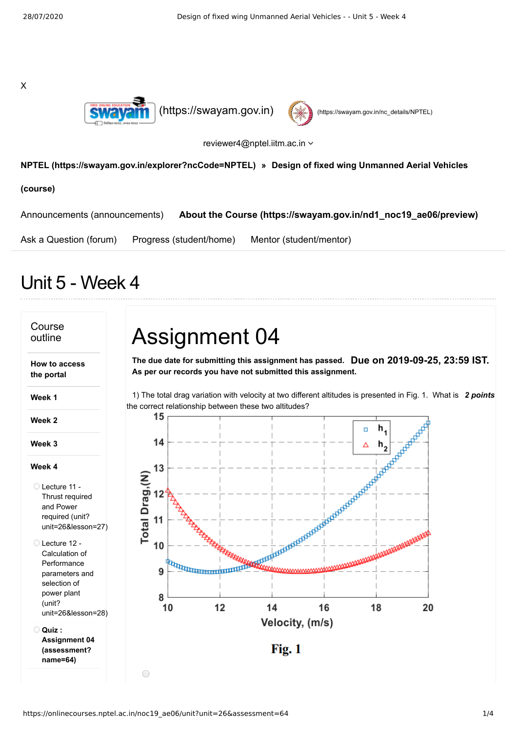X





reviewer4@nptel.iitm.ac.in

## **[NPTEL \(https://swayam.gov.in/explorer?ncCode=NPTEL\)](https://swayam.gov.in/explorer?ncCode=NPTEL) » Design of fixed wing Unmanned Aerial Vehicles**

**(course)**

[Announcements \(announcements\)](https://onlinecourses.nptel.ac.in/noc19_ae06/announcements) **[About the Course \(https://swayam.gov.in/nd1\\_noc19\\_ae06/preview\)](https://swayam.gov.in/nd1_noc19_ae06/preview)**

[Ask a Question \(forum\)](https://onlinecourses.nptel.ac.in/noc19_ae06/forum) [Progress \(student/home\)](https://onlinecourses.nptel.ac.in/noc19_ae06/student/home) [Mentor \(student/mentor\)](https://onlinecourses.nptel.ac.in/noc19_ae06/student/mentor)

## Unit 5 - Week 4

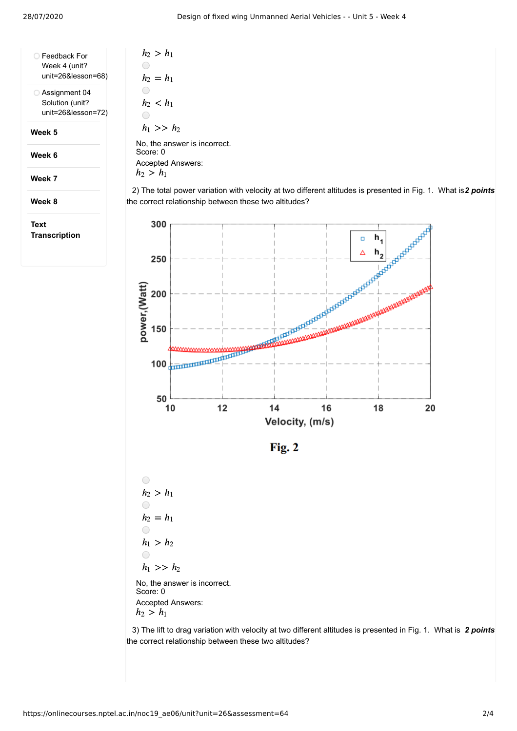| Feedback For       | ı        |
|--------------------|----------|
| Week 4 (unit?      |          |
| unit=26&lesson=68) | h        |
| Assignment 04      |          |
| Solution (unit?    | $\bm{h}$ |
| unit=26&lesson=72) |          |

**Week 5**

**Week 6**

**Week 7**

**Week 8**

**Text Transcription**

 $n_2 > h_1$  $h_2 = h_1$  $n_2 < h_1$  $\bigcirc$  $h_1 >> h_2$ No, the answer is incorrect. Score: 0 Accepted Answers:  $h_2 > h_1$ 

2) The total power variation with velocity at two different altitudes is presented in Fig. 1. What is 2 points the correct relationship between these two altitudes?





 $\bigcirc$  $h_2 > h_1$  $\bigcirc$  $h_2 = h_1$  $\bigcirc$  $h_1 > h_2$  $\bigcirc$  $h_1 >> h_2$ No, the answer is incorrect. Score: 0 Accepted Answers:

 $h_2 > h_1$ 

3) The lift to drag variation with velocity at two different altitudes is presented in Fig. 1. What is 2 points the correct relationship between these two altitudes?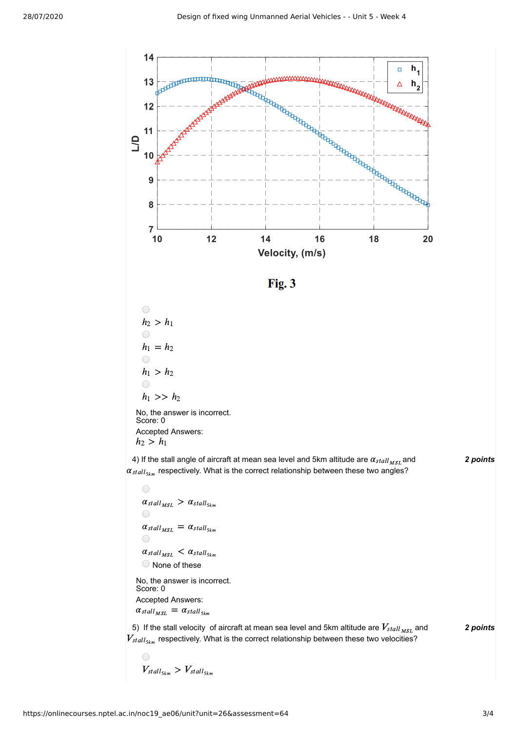

 $\bigcirc$  $\alpha_{stall_{MSL}} > \alpha_{stall_{5km}}$  $\bigcirc$  $\alpha_{stall_{MSL}} = \alpha_{stall_{5km}}$  $\bigcirc$  $\alpha_{stall_{MSL}} < \alpha_{stall_{5km}}$ None of these No, the answer is incorrect.

Score: 0 Accepted Answers:  $\alpha_{stall_{MSL}} = \alpha_{stall_{5km}}$ 

5) If the stall velocity of aircraft at mean sea level and 5km altitude are  $V_{stall_{MSL}}$  and **2** points  $V_{stall_{5km}}$  respectively. What is the correct relationship between these two velocities?

 $\bigcap$  $V_{stall_{5km}} > V_{stall_{5km}}$